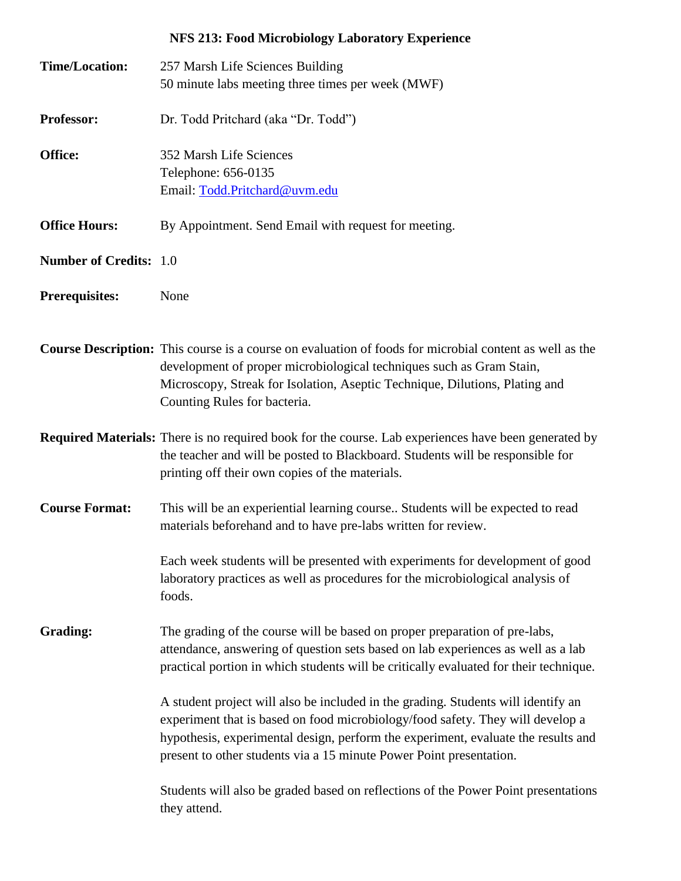## **NFS 213: Food Microbiology Laboratory Experience**

| <b>Time/Location:</b>         | 257 Marsh Life Sciences Building<br>50 minute labs meeting three times per week (MWF)                                                                                                                                                                                                                                           |
|-------------------------------|---------------------------------------------------------------------------------------------------------------------------------------------------------------------------------------------------------------------------------------------------------------------------------------------------------------------------------|
| Professor:                    | Dr. Todd Pritchard (aka "Dr. Todd")                                                                                                                                                                                                                                                                                             |
| Office:                       | 352 Marsh Life Sciences<br>Telephone: 656-0135<br>Email: Todd.Pritchard@uvm.edu                                                                                                                                                                                                                                                 |
| <b>Office Hours:</b>          | By Appointment. Send Email with request for meeting.                                                                                                                                                                                                                                                                            |
| <b>Number of Credits: 1.0</b> |                                                                                                                                                                                                                                                                                                                                 |
| <b>Prerequisites:</b>         | None                                                                                                                                                                                                                                                                                                                            |
|                               | Course Description: This course is a course on evaluation of foods for microbial content as well as the<br>development of proper microbiological techniques such as Gram Stain,<br>Microscopy, Streak for Isolation, Aseptic Technique, Dilutions, Plating and<br>Counting Rules for bacteria.                                  |
|                               | <b>Required Materials:</b> There is no required book for the course. Lab experiences have been generated by<br>the teacher and will be posted to Blackboard. Students will be responsible for<br>printing off their own copies of the materials.                                                                                |
| <b>Course Format:</b>         | This will be an experiential learning course Students will be expected to read<br>materials beforehand and to have pre-labs written for review.                                                                                                                                                                                 |
|                               | Each week students will be presented with experiments for development of good<br>laboratory practices as well as procedures for the microbiological analysis of<br>foods.                                                                                                                                                       |
| Grading:                      | The grading of the course will be based on proper preparation of pre-labs,<br>attendance, answering of question sets based on lab experiences as well as a lab<br>practical portion in which students will be critically evaluated for their technique.                                                                         |
|                               | A student project will also be included in the grading. Students will identify an<br>experiment that is based on food microbiology/food safety. They will develop a<br>hypothesis, experimental design, perform the experiment, evaluate the results and<br>present to other students via a 15 minute Power Point presentation. |
|                               | Students will also be graded based on reflections of the Power Point presentations<br>they attend.                                                                                                                                                                                                                              |